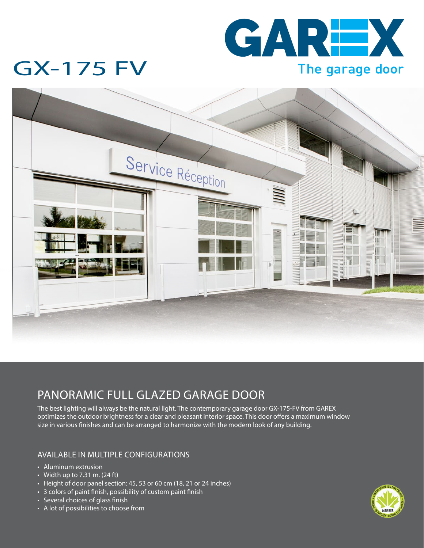

## GX-175 FV



### PANORAMIC FULL GLAZED GARAGE DOOR

The best lighting will always be the natural light. The contemporary garage door GX-175-FV from GAREX optimizes the outdoor brightness for a clear and pleasant interior space. This door offers a maximum window size in various finishes and can be arranged to harmonize with the modern look of any building.

#### AVAILABLE IN MULTIPLE CONFIGURATIONS

- Aluminum extrusion
- Width up to  $7.31 \text{ m}$ . (24 ft)
- Height of door panel section: 45, 53 or 60 cm (18, 21 or 24 inches)
- 3 colors of paint finish, possibility of custom paint finish
- Several choices of glass finish
- A lot of possibilities to choose from

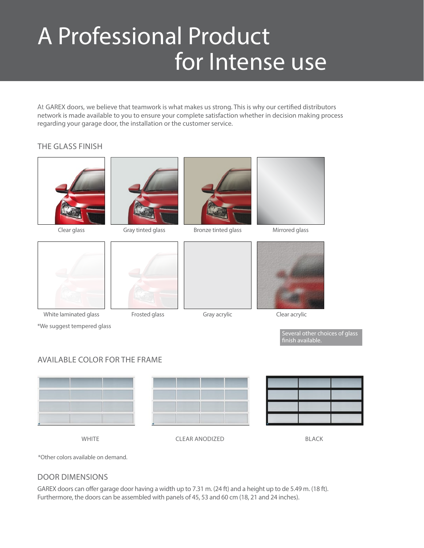# A Professional Product for Intense use

At GAREX doors, we believe that teamwork is what makes us strong. This is why our certified distributors network is made available to you to ensure your complete satisfaction whether in decision making process regarding your garage door, the installation or the customer service.

#### THE GLASS FINISH



Clear glass



White laminated glass

\*We suggest tempered glass

Gray tinted glass

Frosted glass



Bronze tinted glass Mirrored glass





Gray acrylic Clear acrylic

Several other choices of glass finish available.

#### AVAILABLE COLOR FOR THE FRAME





WHITE **CLEAR ANODIZED** BLACK

\*Other colors available on demand.

#### DOOR DIMENSIONS

GAREX doors can offer garage door having a width up to 7.31 m. (24 ft) and a height up to de 5.49 m. (18 ft). Furthermore, the doors can be assembled with panels of 45, 53 and 60 cm (18, 21 and 24 inches).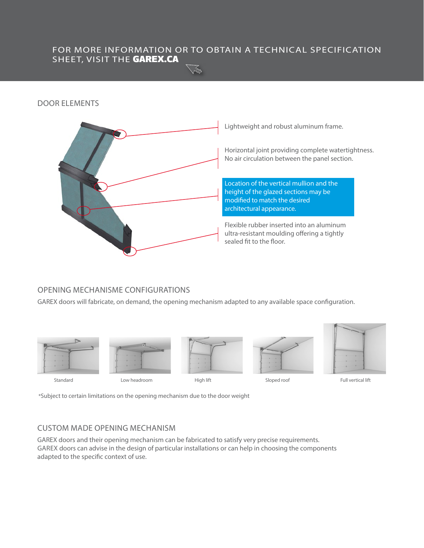#### FOR MORE INFORMATION OR TO OBTAIN A TECHNICAL SPECIFICATION SHEET, VISIT THE GAREX.CA

#### DOOR ELEMENTS



#### OPENING MECHANISME CONFIGURATIONS

GAREX doors will fabricate, on demand, the opening mechanism adapted to any available space configuration.





Standard Low headroom High lift Sloped roof Full vertical lift





\*Subject to certain limitations on the opening mechanism due to the door weight

#### CUSTOM MADE OPENING MECHANISM

GAREX doors and their opening mechanism can be fabricated to satisfy very precise requirements. GAREX doors can advise in the design of particular installations or can help in choosing the components adapted to the specific context of use.